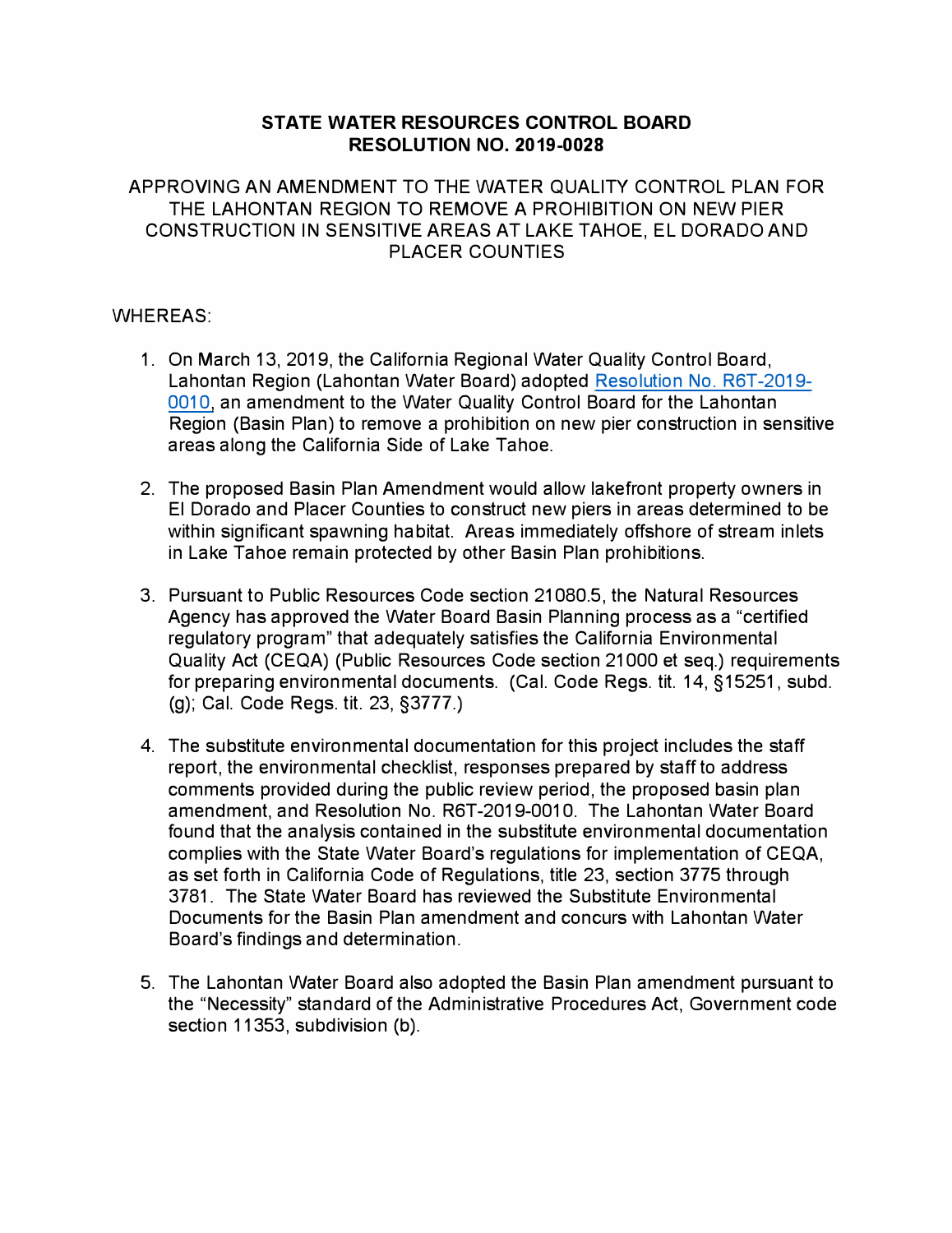### **STATE WATER RESOURCES CONTROL BOARD RESOLUTION NO. 2019-0028**

#### APPROVING AN AMENDMENT TO THE WATER QUALITY CONTROL PLAN FOR THE LAHONTAN REGION TO REMOVE A PROHIBITION ON NEW PIER CONSTRUCTION IN SENSITIVE AREAS AT LAKE TAHOE, EL DORADO AND PLACER COUNTIES

### WHEREAS:

- 1. On March 13, 2019, the California Regional Water Quality Control Board, Lahontan Region (Lahontan Water Board) adopted [Resolution No. R6T-2019-](https://www.waterboards.ca.gov/lahontan/water_issues/programs/basin_plan/lake_tahoe_pier.html) [0010,](https://www.waterboards.ca.gov/lahontan/water_issues/programs/basin_plan/lake_tahoe_pier.html) an amendment to the Water Quality Control Board for the Lahontan Region (Basin Plan) to remove a prohibition on new pier construction in sensitive areas along the California Side of Lake Tahoe.
- 2. The proposed Basin Plan Amendment would allow lakefront property owners in El Dorado and Placer Counties to construct new piers in areas determined to be within significant spawning habitat. Areas immediately offshore of stream inlets in Lake Tahoe remain protected by other Basin Plan prohibitions.
- 3. Pursuant to Public Resources Code section 21080.5, the Natural Resources Agency has approved the Water Board Basin Planning process as a "certified regulatory program" that adequately satisfies the California Environmental Quality Act (CEQA) (Public Resources Code section 21000 et seq.) requirements for preparing environmental documents. (Cal. Code Regs. tit. 14, §15251, subd. (g); Cal. Code Regs. tit. 23, §3777.)
- 4. The substitute environmental documentation for this project includes the staff report, the environmental checklist, responses prepared by staff to address comments provided during the public review period, the proposed basin plan amendment, and Resolution No. R6T-2019-0010. The Lahontan Water Board found that the analysis contained in the substitute environmental documentation complies with the State Water Board's regulations for implementation of CEQA, as set forth in California Code of Regulations, title 23, section 3775 through 3781. The State Water Board has reviewed the Substitute Environmental Documents for the Basin Plan amendment and concurs with Lahontan Water Board's findings and determination.
- 5. The Lahontan Water Board also adopted the Basin Plan amendment pursuant to the "Necessity" standard of the Administrative Procedures Act, Government code section 11353, subdivision (b).